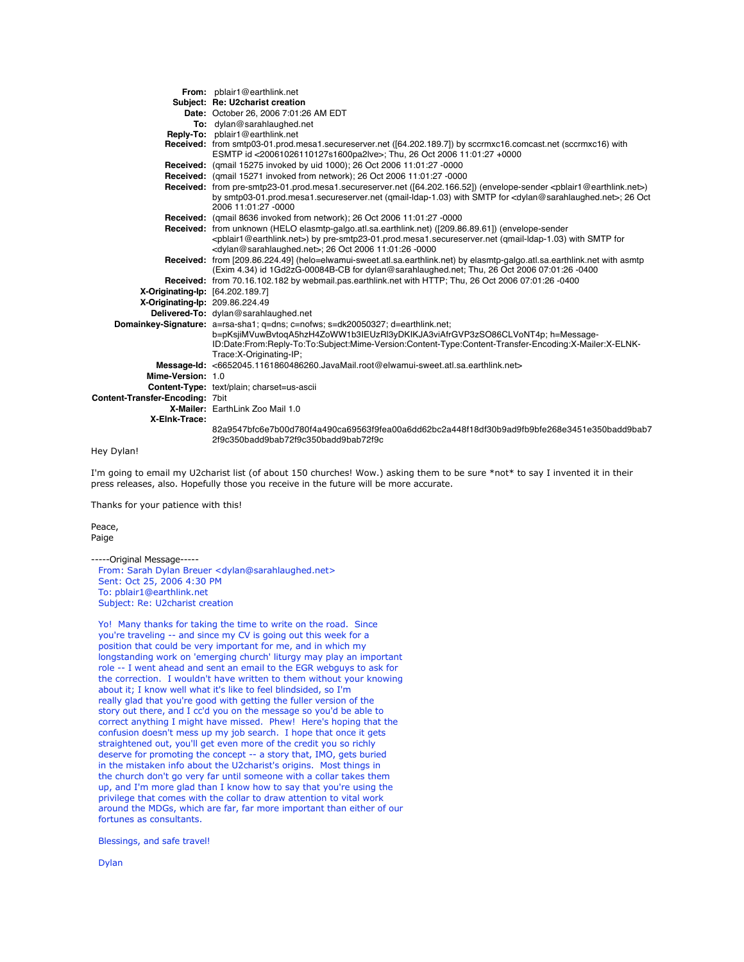|                                  | <b>From:</b> pblair1@earthlink.net                                                                                                                                                                                                                                                                                    |
|----------------------------------|-----------------------------------------------------------------------------------------------------------------------------------------------------------------------------------------------------------------------------------------------------------------------------------------------------------------------|
|                                  | Subject: Re: U2charist creation                                                                                                                                                                                                                                                                                       |
|                                  | Date: October 26, 2006 7:01:26 AM EDT                                                                                                                                                                                                                                                                                 |
|                                  | To: dylan@sarahlaughed.net                                                                                                                                                                                                                                                                                            |
|                                  | Reply-To: pblair1@earthlink.net                                                                                                                                                                                                                                                                                       |
|                                  | Received: from smtp03-01.prod.mesa1.secureserver.net ([64.202.189.7]) by sccrmxc16.comcast.net (sccrmxc16) with<br>ESMTP id <20061026110127s1600pa2lve>; Thu, 26 Oct 2006 11:01:27 +0000                                                                                                                              |
|                                  | Received: (gmail 15275 invoked by uid 1000); 26 Oct 2006 11:01:27 -0000                                                                                                                                                                                                                                               |
|                                  | Received: (qmail 15271 invoked from network); 26 Oct 2006 11:01:27 -0000                                                                                                                                                                                                                                              |
|                                  | Received: from pre-smtp23-01.prod.mesa1.secureserver.net ([64.202.166.52]) (envelope-sender <pblair1@earthlink.net>)<br/>by smtp03-01.prod.mesa1.secureserver.net (gmail-ldap-1.03) with SMTP for <dylan@sarahlaughed.net>; 26 Oct<br/>2006 11:01:27 -0000</dylan@sarahlaughed.net></pblair1@earthlink.net>           |
|                                  | Received: (qmail 8636 invoked from network); 26 Oct 2006 11:01:27 -0000                                                                                                                                                                                                                                               |
|                                  | Received: from unknown (HELO elasmtp-galgo.atl.sa.earthlink.net) ([209.86.89.61]) (envelope-sender<br><pblair1@earthlink.net>) by pre-smtp23-01.prod.mesa1.secureserver.net (gmail-ldap-1.03) with SMTP for<br/><dylan@sarahlaughed.net>; 26 Oct 2006 11:01:26 -0000</dylan@sarahlaughed.net></pblair1@earthlink.net> |
|                                  | Received: from [209.86.224.49] (helo=elwamui-sweet.atl.sa.earthlink.net) by elasmtp-galgo.atl.sa.earthlink.net with asmtp<br>(Exim 4.34) id 1Gd2zG-00084B-CB for dylan@sarahlaughed.net; Thu, 26 Oct 2006 07:01:26 -0400                                                                                              |
|                                  | Received: from 70.16.102.182 by webmail.pas.earthlink.net with HTTP; Thu, 26 Oct 2006 07:01:26 -0400                                                                                                                                                                                                                  |
| X-Originating-Ip: [64.202.189.7] |                                                                                                                                                                                                                                                                                                                       |
| X-Originating-lp: 209.86.224.49  |                                                                                                                                                                                                                                                                                                                       |
|                                  | Delivered-To: dylan@sarahlaughed.net                                                                                                                                                                                                                                                                                  |
|                                  | Domainkey-Signature: a=rsa-sha1; q=dns; c=nofws; s=dk20050327; d=earthlink.net;<br>b=pKsjiMVuwBvtogA5hzH4ZoWW1b3IEUzRl3yDKIKJA3viAfrGVP3zSO86CLVoNT4p; h=Message-<br>ID:Date:From:Reply-To:To:Subject:Mime-Version:Content-Type:Content-Transfer-Encoding:X-Mailer:X-ELNK-<br>Trace: X-Originating-IP;                |
|                                  | Message-Id: <6652045.1161860486260.JavaMail.root@elwamui-sweet.atl.sa.earthlink.net>                                                                                                                                                                                                                                  |
| Mime-Version: 1.0                |                                                                                                                                                                                                                                                                                                                       |
|                                  | Content-Type: text/plain; charset=us-ascii                                                                                                                                                                                                                                                                            |
| Content-Transfer-Encoding: 7bit  |                                                                                                                                                                                                                                                                                                                       |
|                                  | X-Mailer: EarthLink Zoo Mail 1.0                                                                                                                                                                                                                                                                                      |
| X-Elnk-Trace:                    |                                                                                                                                                                                                                                                                                                                       |
|                                  | 82a9547bfc6e7b00d780f4a490ca69563f9fea00a6dd62bc2a448f18df30b9ad9fb9bfe268e3451e350badd9bab7<br>2f9c350badd9bab72f9c350badd9bab72f9c                                                                                                                                                                                  |

```
Hey Dylan!
```
I'm going to email my U2charist list (of about 150 churches! Wow.) asking them to be sure \*not\* to say I invented it in their press releases, also. Hopefully those you receive in the future will be more accurate.

Thanks for your patience with this!

Peace, Paige

-----Original Message----- From: Sarah Dylan Breuer <dylan@sarahlaughed.net> Sent: Oct 25, 2006 4:30 PM To: pblair1@earthlink.net Subject: Re: U2charist creation

Yo! Many thanks for taking the time to write on the road. Since you're traveling -- and since my CV is going out this week for a position that could be very important for me, and in which my longstanding work on 'emerging church' liturgy may play an important role -- I went ahead and sent an email to the EGR webguys to ask for the correction. I wouldn't have written to them without your knowing about it; I know well what it's like to feel blindsided, so I'm really glad that you're good with getting the fuller version of the story out there, and I cc'd you on the message so you'd be able to correct anything I might have missed. Phew! Here's hoping that the confusion doesn't mess up my job search. I hope that once it gets straightened out, you'll get even more of the credit you so richly deserve for promoting the concept -- a story that, IMO, gets buried in the mistaken info about the U2charist's origins. Most things in the church don't go very far until someone with a collar takes them up, and I'm more glad than I know how to say that you're using the privilege that comes with the collar to draw attention to vital work around the MDGs, which are far, far more important than either of our fortunes as consultants.

Blessings, and safe travel!

Dylan